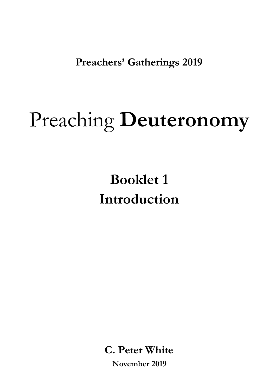**Preachers' Gatherings 2019** 

# Preaching **Deuteronomy**

**Booklet 1 Introduction** 

**C. Peter White November 2019**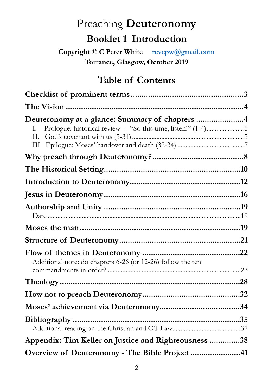# Preaching **Deuteronomy**

# **Booklet 1 Introduction**

**Copyright © C Peter White revcpw@gmail.com Torrance, Glasgow, October 2019** 

# **Table of Contents**

| Deuteronomy at a glance: Summary of chapters 4<br>Ι.<br>П.  |  |
|-------------------------------------------------------------|--|
|                                                             |  |
|                                                             |  |
|                                                             |  |
|                                                             |  |
|                                                             |  |
|                                                             |  |
|                                                             |  |
| Additional note: do chapters 6-26 (or 12-26) follow the ten |  |
|                                                             |  |
|                                                             |  |
|                                                             |  |
|                                                             |  |
| Appendix: Tim Keller on Justice and Righteousness 38        |  |
| Overview of Deuteronomy - The Bible Project 41              |  |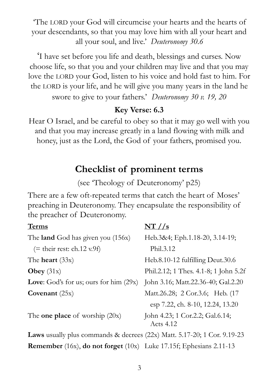'The LORD your God will circumcise your hearts and the hearts of your descendants, so that you may love him with all your heart and all your soul, and live.' *Deuteronomy 30.6* 

'I have set before you life and death, blessings and curses. Now choose life, so that you and your children may live and that you may love the LORD your God, listen to his voice and hold fast to him. For the LORD is your life, and he will give you many years in the land he swore to give to your fathers.' *Deuteronomy 30 v. 19, 20* 

## **Key Verse: 6.3**

Hear O Israel, and be careful to obey so that it may go well with you and that you may increase greatly in a land flowing with milk and honey, just as the Lord, the God of your fathers, promised you.

## <span id="page-2-0"></span>**Checklist of prominent terms**

(see 'Theology of Deuteronomy' p25)

There are a few oft-repeated terms that catch the heart of Moses' preaching in Deuteronomy. They encapsulate the responsibility of the preacher of Deuteronomy.

| <b>Terms</b>                                                                      |                                              |
|-----------------------------------------------------------------------------------|----------------------------------------------|
| The <b>land</b> God has given you (156x)                                          | Heb.3&4; Eph.1.18-20, 3.14-19;               |
| $($ = their rest: ch.12 v.9f)                                                     | Phil.3.12                                    |
| The <b>heart</b> $(33x)$                                                          | Heb.8.10-12 fulfilling Deut.30.6             |
| <b>Obey</b> $(31x)$                                                               | Phil.2.12; 1 Thes. 4.1-8; 1 John 5.2f        |
| <b>Love:</b> God's for us; ours for him $(29x)$                                   | John 3.16; Matt.22.36-40; Gal.2.20           |
| Covenant $(25x)$                                                                  | Matt.26.28; 2 Cor.3.6; Heb. (17              |
|                                                                                   | esp 7.22, ch. 8-10, 12.24, 13.20             |
| The <b>one place</b> of worship $(20x)$                                           | John 4.23; 1 Cor.2.2; Gal.6.14;<br>Acts 4.12 |
| <b>Laws</b> usually plus commands & decrees $(22x)$ Matt. 5.17-20; 1 Cor. 9.19-23 |                                              |
| <b>Remember</b> (16x), <b>do not forget</b> (10x) Luke 17.15f; Ephesians 2.11-13  |                                              |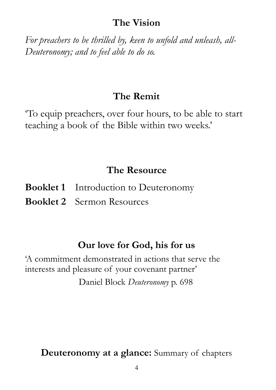## <span id="page-3-0"></span>**The Vision**

*For preachers to be thrilled by, keen to unfold and unleash, all-Deuteronomy; and to feel able to do so.* 

## **The Remit**

'To equip preachers, over four hours, to be able to start teaching a book of the Bible within two weeks.'

# **The Resource**

| <b>Booklet 1</b> Introduction to Deuteronomy |
|----------------------------------------------|
| <b>Booklet 2</b> Sermon Resources            |

# **Our love for God, his for us**

'A commitment demonstrated in actions that serve the interests and pleasure of your covenant partner' Daniel Block *Deuteronomy* p. 698

<span id="page-3-1"></span>**Deuteronomy at a glance:** Summary of chapters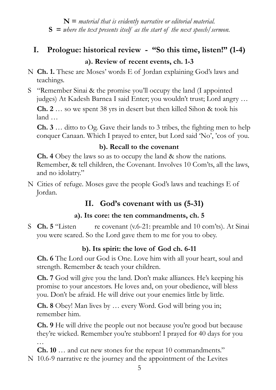**N =** *material that is evidently narrative or editorial material.* **S =** *where the text presents itself as the start of the next speech/sermon.* 

## <span id="page-4-0"></span>**I. Prologue: historical review - "So this time, listen!" (1-4) a). Review of recent events, ch. 1-3**

- N **Ch. 1.** These are Moses' words E of Jordan explaining God's laws and teachings.
- S "Remember Sinai & the promise you'll occupy the land (I appointed judges) At Kadesh Barnea I said Enter; you wouldn't trust; Lord angry …

**Ch. 2** … so we spent 38 yrs in desert but then killed Sihon & took his land …

**Ch. 3** … ditto to Og. Gave their lands to 3 tribes, the fighting men to help conquer Canaan. Which I prayed to enter, but Lord said 'No', 'cos of you.

## **b). Recall to the covenant**

 **Ch. 4** Obey the laws so as to occupy the land & show the nations. Remember, & tell children, the Covenant. Involves 10 Com'ts, all the laws, and no idolatry."

N Cities of refuge. Moses gave the people God's laws and teachings E of Jordan.

## <span id="page-4-1"></span> **II. God's covenant with us (5-31)**

## **a). Its core: the ten commandments, ch. 5**

S **Ch. 5** "Listen re covenant (v.6-21: preamble and 10 com'ts). At Sinai you were scared. So the Lord gave them to me for you to obey.

## **b). Its spirit: the love of God ch. 6-11**

**Ch. 6** The Lord our God is One. Love him with all your heart, soul and strength. Remember & teach your children.

 **Ch. 7** God will give you the land. Don't make alliances. He's keeping his promise to your ancestors. He loves and, on your obedience, will bless you. Don't be afraid. He will drive out your enemies little by little.

 **Ch. 8** Obey! Man lives by … every Word. God will bring you in; remember him.

**Ch.** 9 He will drive the people out not because you're good but because they're wicked. Remember you're stubborn! I prayed for 40 days for you …

 **Ch. 10** … and cut new stones for the repeat 10 commandments."

N 10.6-9 narrative re the journey and the appointment of the Levites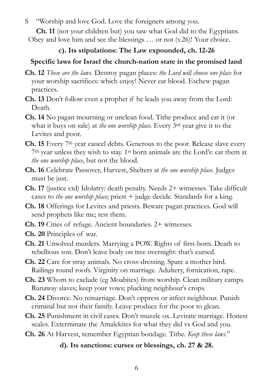S"Worship and love God. Love the foreigners among you.

 **Ch. 11** (not your children but) you saw what God did to the Egyptians. Obey and love him and see the blessings … or not (v.26)! Your choice.

#### **c). Its stipulations: The Law expounded, ch. 12-26**

## **Specific laws for Israel the church-nation state in the promised land**

- **Ch. 12** *These are the laws*. Destroy pagan places: *the Lord will choose one place* for your worship sacrifices: which enjoy! Never eat blood. Eschew pagan practices.
- **Ch. 13** Don't follow even a prophet if he leads you away from the Lord: Death.
- **Ch. 14** No pagan mourning or unclean food. Tithe produce and eat it (or what it buys on sale) at *the one worship place*. Every 3rd year give it to the Levites and poor.
- **Ch. 15** Every 7<sup>th</sup> year cancel debts. Generous to the poor. Release slave every 7th year unless they wish to stay. 1st born animals are the Lord's: eat them at *the one worship place*, but not the blood.
- **Ch. 16** Celebrate Passover, Harvest, Shelters at *the one worship place.* Judges must be just.
- **Ch. 17** (justice ctd) Idolatry: death penalty. Needs 2+ witnesses. Take difficult cases to *the one worship place*; priest + judge decide. Standards for a king.
- **Ch. 18** Offerings for Levites and priests. Beware pagan practices. God will send prophets like me; test them.
- **Ch. 19** Cities of refuge. Ancient boundaries. 2+ witnesses.

**Ch. 20** Principles of war.

- **Ch. 21** Unsolved murders. Marrying a POW. Rights of first-born. Death to rebellious son. Don't leave body on tree overnight: that's cursed.
- **Ch. 22** Care for stray animals. No cross-dressing. Spare a mother bird. Railings round roofs. Virginity on marriage. Adultery, fornication, rape.
- **Ch. 23** Whom to exclude (eg Moabites) from worship. Clean military camps. Runaway slaves; keep your vows; plucking neighbour's crops.
- **Ch. 24** Divorce. No remarriage. Don't oppress or infect neighbour. Punish criminal but not their family. Leave produce for the poor to glean.
- **Ch. 25** Punishment in civil cases. Don't muzzle ox. Levirate marriage. Honest scales. Exterminate the Amalekites for what they did vs God and you.
- **Ch. 26** At Harvest, remember Egyptian bondage. Tithe. *Keep these laws*."

## **d). Its sanctions: curses or blessings, ch. 27 & 28.**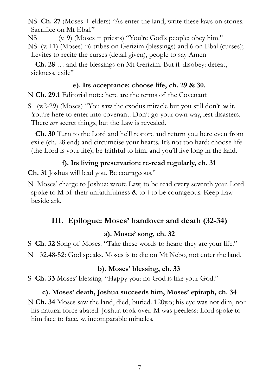NS **Ch. 27** (Moses + elders) "As enter the land, write these laws on stones. Sacrifice on Mt Ebal."

NS (v. 9) (Moses + priests) "You're God's people; obey him." NS (v. 11) (Moses) "6 tribes on Gerizim (blessings) and 6 on Ebal (curses); Levites to recite the curses (detail given), people to say Amen

 **Ch. 28** … and the blessings on Mt Gerizim. But if disobey: defeat, sickness, exile"

#### **e). Its acceptance: choose life, ch. 29 & 30.**

N **Ch. 29.1** Editorial note: here are the terms of the Covenant

S (v.2-29) (Moses) "You saw the exodus miracle but you still don't *see* it. You're here to enter into covenant. Don't go your own way, lest disasters. There *are* secret things, but the Law is revealed.

 **Ch. 30** Turn to the Lord and he'll restore and return you here even from exile (ch. 28.end) and circumcise your hearts. It's not too hard: choose life (the Lord is your life), be faithful to him, and you'll live long in the land.

## **f). Its living preservation: re-read regularly, ch. 31**

**Ch. 31** Joshua will lead you. Be courageous."

N Moses' charge to Joshua; wrote Law, to be read every seventh year. Lord spoke to M of their unfaithfulness & to J to be courageous. Keep Law beside ark.

## <span id="page-6-0"></span>**III. Epilogue: Moses' handover and death (32-34)**

#### **a). Moses' song, ch. 32**

S **Ch. 32** Song of Moses. "Take these words to heart: they are your life."

N 32.48-52: God speaks. Moses is to die on Mt Nebo, not enter the land.

#### **b). Moses' blessing, ch. 33**

S **Ch. 33** Moses' blessing. "Happy you: no God is like your God."

#### **c). Moses' death, Joshua succeeds him, Moses' epitaph, ch. 34**

N **Ch. 34** Moses saw the land, died, buried. 120y.o; his eye was not dim, nor his natural force abated. Joshua took over. M was peerless: Lord spoke to him face to face, w. incomparable miracles.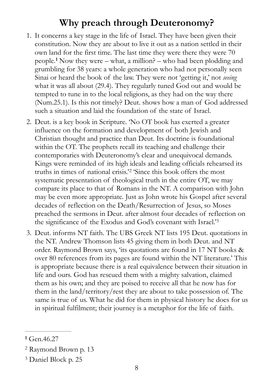# <span id="page-7-0"></span>**Why preach through Deuteronomy?**

- <span id="page-7-4"></span>1. It concerns a key stage in the life of Israel. They have been given their constitution. Now they are about to live it out as a nation settled in their own land for the first time. The last time they were there they were 70 people.<sup>1</sup>Now they were – what, a million? – who had been plodding and grumbling for 38 years: a whole generation who had not personally seen Sinai or heard the book of the law. They were not 'getting it,' not *seeing* what it was all about (29.4). They regularly tuned God out and would be tempted to tune in to the local religions, as they had on the way there (Num.25.1). Is this not timely? Deut. shows how a man of God addressed such a situation and laid the foundation of the state of Israel.
- <span id="page-7-5"></span>2. Deut. is a key book in Scripture. 'No OT book has exerted a greater influence on the formation and development of both Jewish and Christian thought and practice than Deut. Its doctrine is foundational within the OT. The prophets recall its teaching and challenge their contemporaries with Deuteronomy's clear and unequivocal demands. Kings were reminded of its high ideals and leading officials rehearsed its truthsin times of national crisis.<sup>[2](#page-7-2)2</sup> 'Since this book offers the most systematic presentation of theological truth in the entire OT, we may compare its place to that of Romans in the NT. A comparison with John may be even more appropriate. Just as John wrote his Gospel after several decades of reflection on the Death/Resurrection of Jesus, so Moses preached the sermons in Deut. after almost four decades of reflection on the significance of the Exodus and God['](#page-7-3)s covenant with Israel.'<sup>[3](#page-7-3)</sup>
- <span id="page-7-6"></span>3. Deut. informs NT faith. The UBS Greek NT lists 195 Deut. quotations in the NT. Andrew Thomson lists 45 giving them in both Deut. and NT order. Raymond Brown says, 'its quotations are found in 17 NT books & over 80 references from its pages are found within the NT literature.' This is appropriate because there is a real equivalence between their situation in life and ours. God has rescued them with a mighty salvation, claimed them as his own; and they are poised to receive all that he now has for them in the land/territory/rest they are about to take possession of. The same is true of us. What he did for them in physical history he does for us in spiritual fulfilment; their journey is a metaphor for the life of faith.

<span id="page-7-1"></span>Gen.46.27 **[1](#page-7-4)**

<span id="page-7-2"></span><sup>&</sup>lt;sup>[2](#page-7-5)</sup> Raymond Brown p. 13

<span id="page-7-3"></span><sup>&</sup>lt;sup>[3](#page-7-6)</sup> Daniel Block p. 25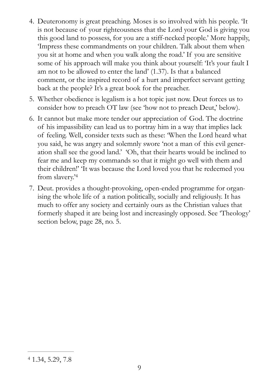- 4. Deuteronomy is great preaching. Moses is so involved with his people. 'It is not because of your righteousness that the Lord your God is giving you this good land to possess, for you are a stiff-necked people.' More happily, 'Impress these commandments on your children. Talk about them when you sit at home and when you walk along the road.' If you are sensitive some of his approach will make you think about yourself: 'It's your fault I am not to be allowed to enter the land' (1.37). Is that a balanced comment, or the inspired record of a hurt and imperfect servant getting back at the people? It's a great book for the preacher.
- 5. Whether obedience is legalism is a hot topic just now. Deut forces us to consider how to preach OT law (see 'how not to preach Deut,' below).
- 6. It cannot but make more tender our appreciation of God. The doctrine of his impassibility can lead us to portray him in a way that implies lack of feeling. Well, consider texts such as these: 'When the Lord heard what you said, he was angry and solemnly swore 'not a man of this evil generation shall see the good land.' 'Oh, that their hearts would be inclined to fear me and keep my commands so that it might go well with them and their children!' 'It was because the Lord loved you that he redeemed you from slavery.['4](#page-8-0)
- <span id="page-8-1"></span>7. Deut. provides a thought-provoking, open-ended programme for organising the whole life of a nation politically, socially and religiously. It has much to offer any society and certainly ours as the Christian values that formerly shaped it are being lost and increasingly opposed. See 'Theology' section below, page 28, no. 5.

<span id="page-8-0"></span> $41.34, 5.29, 7.8$  $41.34, 5.29, 7.8$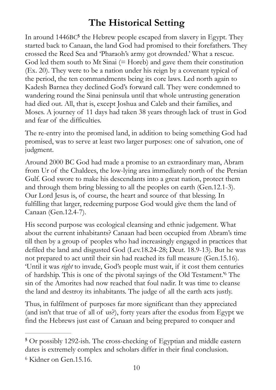# <span id="page-9-3"></span><span id="page-9-0"></span>**The Historical Setting**

In around 1446B[C](#page-9-1)<sup>5</sup> the Hebrew people escaped from slavery in Egypt. They started back to Canaan, the land God had promised to their forefathers. They crossed the Reed Sea and 'Pharaoh's army got drownded.' What a rescue. God led them south to Mt Sinai (= Horeb) and gave them their constitution (Ex. 20). They were to be a nation under his reign by a covenant typical of the period, the ten commandments being its core laws. Led north again to Kadesh Barnea they declined God's forward call. They were condemned to wandering round the Sinai peninsula until that whole untrusting generation had died out. All, that is, except Joshua and Caleb and their families, and Moses. A journey of 11 days had taken 38 years through lack of trust in God and fear of the difficulties.

The re-entry into the promised land, in addition to being something God had promised, was to serve at least two larger purposes: one of salvation, one of judgment.

Around 2000 BC God had made a promise to an extraordinary man, Abram from Ur of the Chaldees, the low-lying area immediately north of the Persian Gulf. God swore to make his descendants into a great nation, protect them and through them bring blessing to all the peoples on earth (Gen.12.1-3). Our Lord Jesus is, of course, the heart and source of that blessing. In fulfilling that larger, redeeming purpose God would give them the land of Canaan (Gen.12.4-7).

His second purpose was ecological cleansing and ethnic judgement. What about the current inhabitants? Canaan had been occupied from Abram's time till then by a group of peoples who had increasingly engaged in practices that defiled the land and disgusted God (Lev.18.24-28; Deut. 18.9-13). But he was not prepared to act until their sin had reached its full measure (Gen.15.16). 'Until it was *right* to invade, God's people must wait, if it cost them centuries of hardship. This is one of the pivotal sayings of the Old Testament.<sup>7[6](#page-9-2)</sup> The sin of the Amorites had now reached that foul nadir. It was time to cleanse the land and destroy its inhabitants. The judge of all the earth acts justly.

<span id="page-9-4"></span>Thus, in fulfilment of purposes far more significant than they appreciated (and isn't that true of all of us?), forty years after the exodus from Egypt we find the Hebrews just east of Canaan and being prepared to conquer and

<span id="page-9-1"></span>Or possibly 1292-ish. The cross-checking of Egyptian and middle eastern **[5](#page-9-3)** dates is extremely complex and scholars differ in their final conclusion.

<span id="page-9-2"></span><sup>&</sup>lt;sup>[6](#page-9-4)</sup> Kidner on Gen.15.16.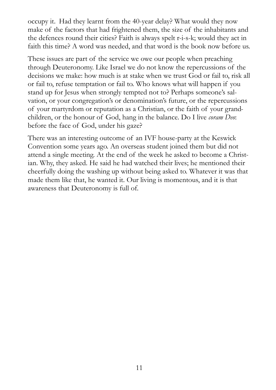occupy it. Had they learnt from the 40-year delay? What would they now make of the factors that had frightened them, the size of the inhabitants and the defences round their cities? Faith is always spelt r-i-s-k; would they act in faith this time? A word was needed, and that word is the book now before us.

These issues are part of the service we owe our people when preaching through Deuteronomy. Like Israel we do not know the repercussions of the decisions we make: how much is at stake when we trust God or fail to, risk all or fail to, refuse temptation or fail to. Who knows what will happen if you stand up for Jesus when strongly tempted not to? Perhaps someone's salvation, or your congregation's or denomination's future, or the repercussions of your martyrdom or reputation as a Christian, or the faith of your grandchildren, or the honour of God, hang in the balance. Do I live *coram Deo*: before the face of God, under his gaze?

There was an interesting outcome of an IVF house-party at the Keswick Convention some years ago. An overseas student joined them but did not attend a single meeting. At the end of the week he asked to become a Christian. Why, they asked. He said he had watched their lives; he mentioned their cheerfully doing the washing up without being asked to. Whatever it was that made them like that, he wanted it. Our living is momentous, and it is that awareness that Deuteronomy is full of.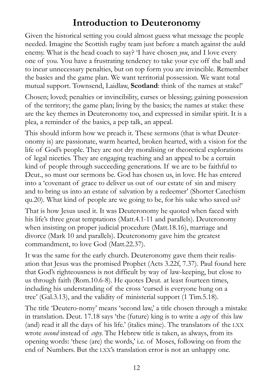# <span id="page-11-0"></span>**Introduction to Deuteronomy**

Given the historical setting you could almost guess what message the people needed. Imagine the Scottish rugby team just before a match against the auld enemy. What is the head coach to say? 'I have chosen *you*, and I love every one of you. You have a frustrating tendency to take your eye off the ball and to incur unnecessary penalties, but on top form you are invincible. Remember the basics and the game plan. We want territorial possession. We want total mutual support. Townsend, Laidlaw, **Scotland**: think of the names at stake!'

Chosen; loved; penalties or invincibility, curses or blessing; gaining possession of the territory; the game plan; living by the basics; the names at stake: these are the key themes in Deuteronomy too, and expressed in similar spirit. It is a plea, a reminder of the basics, a pep talk, an appeal.

This should inform how we preach it. These sermons (that is what Deuteronomy is) are passionate, warm hearted, broken hearted, with a vision for the life of God's people. They are not dry moralising or theoretical explorations of legal niceties. They are engaging teaching and an appeal to be a certain kind of people through succeeding generations. If we are to be faithful to Deut., so must our sermons be. God has chosen us, in love. He has entered into a 'covenant of grace to deliver us out of our estate of sin and misery and to bring us into an estate of salvation by a redeemer' (Shorter Catechism qu.20). What kind of people are we going to be, for his sake who saved us?

That is how Jesus used it. It was Deuteronomy he quoted when faced with his life's three great temptations (Matt.4.1-11 and parallels). Deuteronomy when insisting on proper judicial procedure (Matt.18.16), marriage and divorce (Mark 10 and parallels). Deuteronomy gave him the greatest commandment, to love God (Matt.22.37).

It was the same for the early church. Deuteronomy gave them their realisation that Jesus was the promised Prophet (Acts 3.22f, 7.37). Paul found here that God's righteousness is not difficult by way of law-keeping, but close to us through faith (Rom.10.6-8). He quotes Deut. at least fourteen times, including his understanding of the cross 'cursed is everyone hung on a tree' (Gal.3.13), and the validity of ministerial support (1 Tim.5.18).

The title 'Deutero-nomy' means 'second law,' a title chosen through a mistake in translation. Deut. 17.18 says 'the (future) king is to write a *copy* of this law (and) read it all the days of his life.' (italics mine). The translators of the LXX wrote *second* instead of *copy.* The Hebrew title is taken, as always, from its opening words: 'these (are) the words,' i.e. of Moses, following on from the end of Numbers. But the LXX's translation error is not an unhappy one.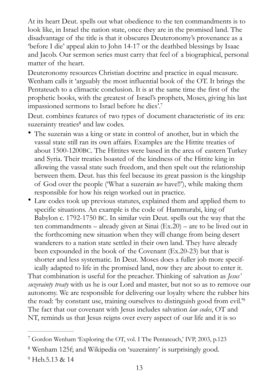At its heart Deut. spells out what obedience to the ten commandments is to look like, in Israel the nation state, once they are in the promised land. The disadvantage of the title is that it obscures Deuteronomy's provenance as a 'before I die' appeal akin to John 14-17 or the deathbed blessings by Isaac and Jacob. Our sermon series must carry that feel of a biographical, personal matter of the heart.

Deuteronomy resources Christian doctrine and practice in equal measure. Wenham calls it 'arguably the most influential book of the OT. It brings the Pentateuch to a climactic conclusion. It is at the same time the first of the prophetic books, with the greatest of Israel's prophets, Moses, giving his last impassioned sermons to Israel before he dies'[.7](#page-12-0)

<span id="page-12-3"></span>Deut. combines features of two types of document characteristic of its era: [s](#page-12-1)uzerainty treaties<sup>[8](#page-12-1)</sup> and law codes.

- <span id="page-12-4"></span>• The suzerain was a king or state in control of another, but in which the vassal state still ran its own affairs. Examples are the Hittite treaties of about 1500-1200BC. The Hittites were based in the area of eastern Turkey and Syria. Their treaties boasted of the kindness of the Hittite king in allowing the vassal state such freedom, and then spelt out the relationship between them. Deut. has this feel because its great passion is the kingship of God over the people ('What a suzerain *we* have!!'), while making them responsible for how his reign worked out in practice.
- Law codes took up previous statutes, explained them and applied them to specific situations. An example is the code of Hammurabi, king of Babylon c. 1792-1750 BC. In similar vein Deut. spells out the way that the ten commandments – already given at Sinai (Ex.20) – are to be lived out in the forthcoming new situation when they will change from being desert wanderers to a nation state settled in their own land. They have already been expounded in the book of the Covenant (Ex.20-23) but that is shorter and less systematic. In Deut. Moses does a fuller job more specif-

<span id="page-12-5"></span>ically adapted to life in the promised land, now they are about to enter it. That combination is useful for the preacher. Thinking of salvation as *Jesus' suzerainty treaty* with us he is our Lord and master, but not so as to remove our autonomy. We are responsible for delivering our loyalty where the rubber hits the road: 'by constant use, training ourselves to distinguish good from evil.['9](#page-12-2) The fact that our covenant with Jesus includes salvation *law codes*, OT and NT, reminds us that Jesus reigns over every aspect of our life and it is so

<span id="page-12-2"></span><sup>[9](#page-12-5)</sup> Heb.5.13 & 14

<span id="page-12-0"></span> $\frac{7}{7}$  $\frac{7}{7}$  $\frac{7}{7}$  Gordon Wenham 'Exploring the OT, vol. I The Pentateuch,' IVP, 2003, p.123

<span id="page-12-1"></span><sup>&</sup>lt;sup>[8](#page-12-4)</sup> Wenham 125f; and Wikipedia on 'suzerainty' is surprisingly good.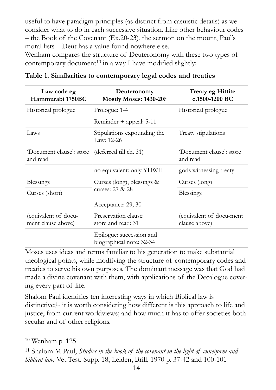useful to have paradigm principles (as distinct from casuistic details) as we consider what to do in each successive situation. Like other behaviour codes – the Book of the Covenant (Ex.20-23), the sermon on the mount, Paul's moral lists – Deut has a value found nowhere else.

<span id="page-13-2"></span>Wenham compares the structure of Deuteronomy with these two types of contemporarydocument<sup>[10](#page-13-0)</sup> in a way I have modified slightly:

| Law code eg<br>Hammurabi 1750BC            | Deuteronomy<br><b>Mostly Moses: 1430-20?</b>         | <b>Treaty eg Hittite</b><br>c.1500-1200 BC |
|--------------------------------------------|------------------------------------------------------|--------------------------------------------|
| Historical prologue                        | Prologue: 1-4                                        | Historical prologue                        |
|                                            | Reminder + appeal: 5-11                              |                                            |
| Laws                                       | Stipulations expounding the<br>Law: 12-26            | Treaty stipulations                        |
| 'Document clause': store<br>and read       | (deferred till ch. 31)                               | 'Document clause': store<br>and read       |
|                                            | no equivalent: only YHWH                             | gods witnessing treaty                     |
| Blessings                                  | Curses (long), blessings $\&$                        | Curses (long)                              |
| Curses (short)                             | curses: 27 & 28                                      | Blessings                                  |
|                                            | Acceptance: 29, 30                                   |                                            |
| (equivalent of docu-<br>ment clause above) | Preservation clause:<br>store and read: 31           | (equivalent of docu-ment<br>clause above)  |
|                                            | Epilogue: succession and<br>biographical note: 32-34 |                                            |

**Table 1. Similarities to contemporary legal codes and treaties** 

Moses uses ideas and terms familiar to his generation to make substantial theological points, while modifying the structure of contemporary codes and treaties to serve his own purposes. The dominant message was that God had made a divine covenant with them, with applications of the Decalogue covering every part of life.

<span id="page-13-3"></span>Shalom Paul identifies ten interesting ways in which Biblical law is distinctive[;](#page-13-1) $11$  it is worth considering how different is this approach to life and justice, from current worldviews; and how much it has to offer societies both secular and of other religions.

<span id="page-13-0"></span> $10$  Wenham p. 125

<span id="page-13-1"></span>Shalom M Paul, *Studies in the book of the covenant in the light of cuneiform and* [11](#page-13-3) *biblical law*, Vet.Test. Supp. 18, Leiden, Brill, 1970 p. 37-42 and 100-101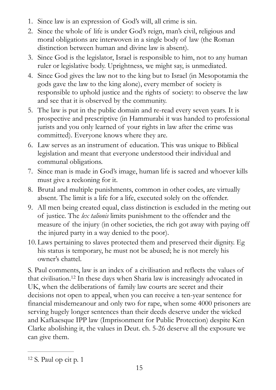- 1. Since law is an expression of God's will, all crime is sin.
- 2. Since the whole of life is under God's reign, man's civil, religious and moral obligations are interwoven in a single body of law (the Roman distinction between human and divine law is absent).
- 3. Since God is the legislator, Israel is responsible to him, not to any human ruler or legislative body. Uprightness, we might say, is unmediated.
- 4. Since God gives the law not to the king but to Israel (in Mesopotamia the gods gave the law to the king alone), every member of society is responsible to uphold justice and the rights of society: to observe the law and see that it is observed by the community.
- 5. The law is put in the public domain and re-read every seven years. It is prospective and prescriptive (in Hammurabi it was handed to professional jurists and you only learned of your rights in law after the crime was committed). Everyone knows where they are.
- 6. Law serves as an instrument of education. This was unique to Biblical legislation and meant that everyone understood their individual and communal obligations.
- 7. Since man is made in God's image, human life is sacred and whoever kills must give a reckoning for it.
- 8. Brutal and multiple punishments, common in other codes, are virtually absent. The limit is a life for a life, executed solely on the offender.
- 9. All men being created equal, class distinction is excluded in the meting out of justice. The *lex talionis* limits punishment to the offender and the measure of the injury (in other societies, the rich got away with paying off the injured party in a way denied to the poor).
- 10. Laws pertaining to slaves protected them and preserved their dignity. Eg his status is temporary, he must not be abused; he is not merely his owner's chattel.

<span id="page-14-1"></span>S. Paul comments, law is an index of a civilisation and reflects the values of thatcivilisation.<sup>[12](#page-14-0)</sup> In these days when Sharia law is increasingly advocated in UK, when the deliberations of family law courts are secret and their decisions not open to appeal, when you can receive a ten-year sentence for financial misdemeanour and only two for rape, when some 4000 prisoners are serving hugely longer sentences than their deeds deserve under the wicked and Kafkaesque IPP law (Imprisonment for Public Protection) despite Ken Clarke abolishing it, the values in Deut. ch. 5-26 deserve all the exposure we can give them.

<span id="page-14-0"></span> $12$  S. Paul op cit p. 1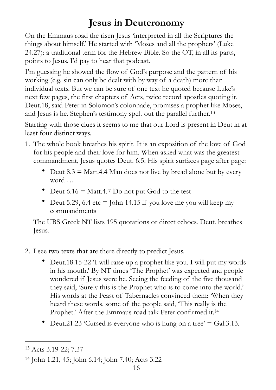# <span id="page-15-3"></span><span id="page-15-0"></span>**Jesus in Deuteronomy**

On the Emmaus road the risen Jesus 'interpreted in all the Scriptures the things about himself.' He started with 'Moses and all the prophets' (Luke 24.27): a traditional term for the Hebrew Bible. So the OT, in all its parts, points to Jesus. I'd pay to hear that podcast.

I'm guessing he showed the flow of God's purpose and the pattern of his working (e.g. sin can only be dealt with by way of a death) more than individual texts. But we can be sure of one text he quoted because Luke's next few pages, the first chapters of Acts, twice record apostles quoting it. Deut.18, said Peter in Solomon's colonnade, promises a prophet like Moses, and Jesus is he. Stephen's testimony spelt out the parallel further. [13](#page-15-1)

Starting with those clues it seems to me that our Lord is present in Deut in at least four distinct ways.

- 1. The whole book breathes his spirit. It is an exposition of the love of God for his people and their love for him. When asked what was the greatest commandment, Jesus quotes Deut. 6.5. His spirit surfaces page after page:
	- Deut  $8.3 = \text{Matt.4.4}$  Man does not live by bread alone but by every word …
	- Deut  $6.16$  = Matt.4.7 Do not put God to the test
	- Deut 5.29, 6.4 etc  $=$  John 14.15 if you love me you will keep my commandments

The UBS Greek NT lists 195 quotations or direct echoes. Deut. breathes Jesus.

- 2. I see two texts that are there directly to predict Jesus.
	- Deut.18.15-22 'I will raise up a prophet like you. I will put my words in his mouth.' By NT times 'The Prophet' was expected and people wondered if Jesus were he. Seeing the feeding of the five thousand they said, 'Surely this is the Prophet who is to come into the world.' His words at the Feast of Tabernacles convinced them: 'When they heard these words, some of the people said, 'This really is the Prophet.' After the Emmaus road talk Peter confirmed it.<sup>14</sup>
	- Deut.21.23 'Cursed is everyone who is hung on a tree'  $=$  Gal.3.13.

<span id="page-15-4"></span><span id="page-15-1"></span><sup>&</sup>lt;sup>[13](#page-15-3)</sup> Acts 3.19-22; 7.37

<span id="page-15-2"></span><sup>&</sup>lt;sup>[14](#page-15-4)</sup> John 1.21, 45; John 6.14; John 7.40; Acts 3.22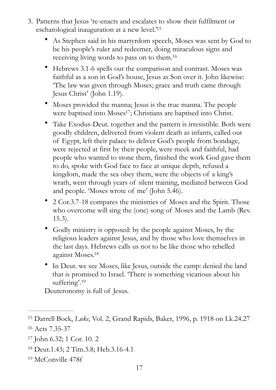- <span id="page-16-7"></span><span id="page-16-6"></span><span id="page-16-5"></span>3. Patterns that Jesus 're-enacts and escalates to show their fulfilment or eschatological inauguration at a new level.<sup>['](#page-16-0)[15](#page-16-0)</sup>
	- As Stephen said in his martyrdom speech, Moses was sent by God to be his people's ruler and redeemer, doing miraculous signs and receiving living words to pass on to them[.](#page-16-1)<sup>[16](#page-16-1)</sup>
	- Hebrews 3.1-6 spells out the comparison and contrast. Moses was faithful as a son in God's house, Jesus as Son over it. John likewise: 'The law was given through Moses; grace and truth came through Jesus Christ' (John 1.19).
	- Moses provided the manna; Jesus is the true manna. The people were baptised into Moses<sup>[17](#page-16-2)</sup>; Christians are baptised into Christ.
	- Take Exodus-Deut. together and the pattern is irresistible. Both were goodly children, delivered from violent death as infants, called out of Egypt, left their palace to deliver God's people from bondage, were rejected at first by their people, were meek and faithful, had people who wanted to stone them, finished the work God gave them to do, spoke with God face to face at unique depth, refused a kingdom, made the sea obey them, were the objects of a king's wrath, went through years of silent training, mediated between God and people. 'Moses wrote of me' (John 5.46).
	- 2 Cor.3.7-18 compares the ministries of Moses and the Spirit. Those who overcome will sing the (one) song of Moses and the Lamb (Rev. 15.3).
	- Godly ministry is opposed: by the people against Moses, by the religious leaders against Jesus, and by those who love themselves in the last days. Hebrews calls us not to be like those who rebelled against Moses[.18](#page-16-3)
	- In Deut. we see Moses, like Jesus, outside the camp: denied the land that is promised to Israel. 'There is something vicarious about his suffering'.<sup>19</sup>

<span id="page-16-9"></span><span id="page-16-8"></span>Deuteronomy is full of Jesus.

<span id="page-16-1"></span><span id="page-16-0"></span><sup>&</sup>lt;sup>[15](#page-16-5)</sup> Darrell Bock, *Luke*, Vol. 2, Grand Rapids, Baker, 1996, p. 1918 on Lk.24.27 [16](#page-16-6) Acts 7.35-37

<span id="page-16-2"></span><sup>&</sup>lt;sup>[17](#page-16-7)</sup> John 6.32; 1 Cor. 10. 2

<span id="page-16-3"></span><sup>&</sup>lt;sup>[18](#page-16-8)</sup> Deut.1.43; 2 Tim.3.8; Heb.3.16-4.1

<span id="page-16-4"></span><sup>&</sup>lt;sup>[19](#page-16-9)</sup> McConville 478f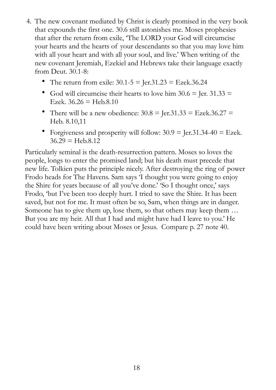- 4. The new covenant mediated by Christ is clearly promised in the very book that expounds the first one. 30.6 still astonishes me. Moses prophesies that after the return from exile, 'The LORD your God will circumcise your hearts and the hearts of your descendants so that you may love him with all your heart and with all your soul, and live.' When writing of the new covenant Jeremiah, Ezekiel and Hebrews take their language exactly from Deut. 30.1-8:
	- The return from exile:  $30.1 5 =$  Jer.  $31.23 =$  Ezek.  $36.24$
	- God will circumcise their hearts to love him  $30.6$  = Jer.  $31.33$  = Ezek.  $36.26 =$  Heb.8.10
	- There will be a new obedience:  $30.8 = \text{Jer.}31.33 = \text{Ezek}.36.27 =$ Heb. 8.10,11
	- Forgiveness and prosperity will follow:  $30.9 =$  Jer.  $31.34-40 =$  Ezek.  $36.29 = \text{Heb.8.12}$

Particularly seminal is the death-resurrection pattern. Moses so loves the people, longs to enter the promised land; but his death must precede that new life. Tolkien puts the principle nicely. After destroying the ring of power Frodo heads for The Havens. Sam says 'I thought you were going to enjoy the Shire for years because of all you've done.' 'So I thought once,' says Frodo, 'but I've been too deeply hurt. I tried to save the Shire. It has been saved, but not for me. It must often be so, Sam, when things are in danger. Someone has to give them up, lose them, so that others may keep them … But you are my heir. All that I had and might have had I leave to you.' He could have been writing about Moses or Jesus. Compare p. 27 note 40.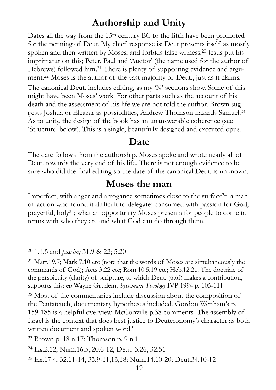# <span id="page-18-10"></span><span id="page-18-9"></span><span id="page-18-0"></span>**Authorship and Unity**

<span id="page-18-11"></span>Dates all the way from the 15<sup>th</sup> century BC to the fifth have been promoted for the penning of Deut. My chief response is: Deut presents itself as mostly spoken and then written by Moses, and forbids false witness[.](#page-18-3)<sup>[20](#page-18-3)</sup> Jesus put his imprimatur on this; Peter, Paul and 'Auctor' (the name used for the author of Hebrews) followed him[.](#page-18-4)<sup>21</sup> There is plenty of supporting evidence and argu-ment[.](#page-18-5)<sup>[22](#page-18-5)</sup> Moses is the author of the vast majority of Deut., just as it claims. The canonical Deut. includes editing, as my 'N' sections show. Some of this might have been Moses' work. For other parts such as the account of his death and the assessment of his life we are not told the author. Brown suggests Joshua or Eleazar as possibilities, Andrew Thomson hazards Samuel.[23](#page-18-6) As to unity, the design of the book has an unanswerable coherence (see 'Structure' below). This is a single, beautifully designed and executed opus.

## <span id="page-18-13"></span><span id="page-18-12"></span><span id="page-18-1"></span>**Date**

The date follows from the authorship. Moses spoke and wrote nearly all of Deut. towards the very end of his life. There is not enough evidence to be sure who did the final editing so the date of the canonical Deut. is unknown.

## <span id="page-18-2"></span>**Moses the man**

<span id="page-18-14"></span>Imperfect, with anger and arrogance sometimes close to the surface  $24$ , a man of action who found it difficult to delegate; consumed with passion for God, prayerful, holy<sup>[25](#page-18-8)</sup>; what an opportunity Moses presents for people to come to terms with who they are and what God can do through them.

<span id="page-18-3"></span><sup>&</sup>lt;sup>[20](#page-18-9)</sup> 1.1,5 and *passim*; 31.9 & 22; 5.20

<span id="page-18-4"></span><sup>&</sup>lt;sup>[21](#page-18-10)</sup> Matt.19.7; Mark 7.10 etc (note that the words of Moses are simultaneously the commands of God); Acts 3.22 etc; Rom.10.5,19 etc; Heb.12.21. The doctrine of the perspicuity (clarity) of scripture, to which Deut. (6.6f) makes a contribution, supports this: eg Wayne Grudem, *Systematic Theology* IVP 1994 p. 105-111

<span id="page-18-5"></span><sup>&</sup>lt;sup>[22](#page-18-11)</sup> Most of the commentaries include discussion about the composition of the Pentateuch, documentary hypotheses included. Gordon Wenham's p. 159-185 is a helpful overview. McConville p.38 comments 'The assembly of Israel is the context that does best justice to Deuteronomy's character as both written document and spoken word.'

<span id="page-18-6"></span> $23$  Brown p. 18 n.17; Thomson p. 9 n.1

<span id="page-18-7"></span><sup>&</sup>lt;sup>[24](#page-18-13)</sup> Ex.2.12; Num.16.5,.20.6-12; Deut. 3.26, 32.51

<span id="page-18-8"></span>Ex.17.4, 32.11-14, 33.9-11,13,18; Num.14.10-20; Deut.34.10-12 [25](#page-18-14)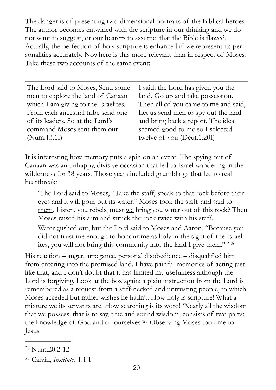The danger is of presenting two-dimensional portraits of the Biblical heroes. The author becomes entwined with the scripture in our thinking and we do not want to suggest, or our hearers to assume, that the Bible is flawed. Actually, the perfection of holy scripture is enhanced if we represent its personalities accurately. Nowhere is this more relevant than in respect of Moses. Take these two accounts of the same event:

| I said, the Lord has given you the   |
|--------------------------------------|
| land. Go up and take possession.     |
| Then all of you came to me and said, |
| Let us send men to spy out the land  |
| and bring back a report. The idea    |
| seemed good to me so I selected      |
| twelve of you (Deut.1.20f)           |
|                                      |

It is interesting how memory puts a spin on an event. The spying out of Canaan was an unhappy, divisive occasion that led to Israel wandering in the wilderness for 38 years. Those years included grumblings that led to real heartbreak:

<span id="page-19-2"></span>'The Lord said to Moses, "Take the staff, speak to that rock before their eyes and it will pour out its water." Moses took the staff and said to them, Listen, you rebels, must we bring you water out of this rock? Then Moses raised his arm and struck the rock twice with his staff. Water gushed out, but the Lord said to Moses and Aaron, "Because you did not trust me enough to honour me as holy in the sight of the Israelites, you will not bring this community into the land I give them." ' [26](#page-19-0)

His reaction – anger, arrogance, personal disobedience – disqualified him from entering into the promised land. I have painful memories of acting just like that, and I don't doubt that it has limited my usefulness although the Lord is forgiving. Look at the box again: a plain instruction from the Lord is remembered as a request from a stiff-necked and untrusting people, to which Moses acceded but rather wishes he hadn't. How holy is scripture! What a mixture we its servants are! How searching is its word! 'Nearly all the wisdom that we possess, that is to say, true and sound wisdom, consists of two parts: theknowledge of God and of ourselves.'<sup>[27](#page-19-1)</sup> Observing Moses took me to Jesus.

<span id="page-19-3"></span><span id="page-19-0"></span> $26$  Num.  $20.2 - 12$ 

<span id="page-19-1"></span>Calvin, *Institutes* 1.1.1 [27](#page-19-3)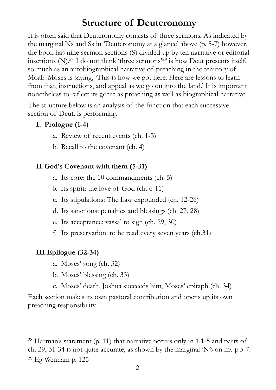# <span id="page-20-4"></span><span id="page-20-3"></span><span id="page-20-0"></span>**Structure of Deuteronomy**

It is often said that Deuteronomy consists of three sermons. As indicated by the marginal Ns and Ss in 'Deuteronomy at a glance' above (p. 5-7) however, the book has nine sermon sections (S) divided up by ten narrative or editorial insertions  $(N)$ [.](#page-20-1)<sup>28</sup> I do not think ['](#page-20-2)three sermons'<sup>29</sup> is how Deut presents itself, so much as an autobiographical narrative of preaching in the territory of Moab. Moses is saying, 'This is how we got here. Here are lessons to learn from that, instructions, and appeal as we go on into the land.' It is important nonetheless to reflect its genre as preaching as well as biographical narrative.

The structure below is an analysis of the function that each successive section of Deut. is performing.

## **I. Prologue (1-4)**

- a. Review of recent events (ch. 1-3)
- b. Recall to the covenant (ch. 4)

## **II.God's Covenant with them (5-31)**

- a. Its core: the 10 commandments (ch. 5)
- b. Its spirit: the love of God (ch. 6-11)
- c. Its stipulations: The Law expounded (ch. 12-26)
- d. Its sanctions: penalties and blessings (ch. 27, 28)
- e. Its acceptance: vassal to sign (ch. 29, 30)
- f. Its preservation: to be read every seven years (ch.31)

## **III.Epilogue (32-34)**

- a. Moses' song (ch. 32)
- b. Moses' blessing (ch. 33)
- c. Moses' death, Joshua succeeds him, Moses' epitaph (ch. 34)

Each section makes its own pastoral contribution and opens up its own preaching responsibility.

<span id="page-20-2"></span><span id="page-20-1"></span><sup>&</sup>lt;sup>[28](#page-20-3)</sup> Harman's statement (p. 11) that narrative occurs only in 1.1-5 and parts of ch. 29, 31-34 is not quite accurate, as shown by the marginal 'N's on my p.5-7. <sup>[29](#page-20-4)</sup> Eg Wenham p.  $125$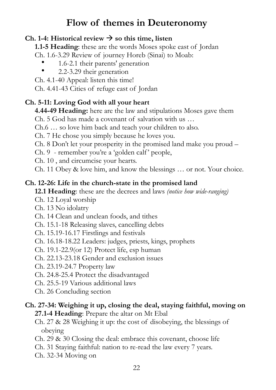# <span id="page-21-0"></span>**Flow of themes in Deuteronomy**

## Ch. 1-4: Historical review  $\rightarrow$  so this time, listen

**1.1-5 Heading**: these are the words Moses spoke east of Jordan

- Ch. 1.6-3.29 Review of journey Horeb (Sinai) to Moab:
	- 1.6-2.1 their parents' generation
	- 2.2-3.29 their generation

Ch. 4.1-40 Appeal: listen this time!

Ch. 4.41-43 Cities of refuge east of Jordan

## **Ch. 5-11: Loving God with all your heart**

**4.44-49 Heading:** here are the law and stipulations Moses gave them

Ch. 5 God has made a covenant of salvation with us …

Ch.6 … so love him back and teach your children to also.

Ch. 7 He chose you simply because he loves you.

Ch. 8 Don't let your prosperity in the promised land make you proud –

Ch. 9 - remember you're a 'golden calf' people,

Ch. 10 , and circumcise your hearts.

Ch. 11 Obey & love him, and know the blessings … or not. Your choice.

## **Ch. 12-26: Life in the church-state in the promised land**

**12.1 Heading**: these are the decrees and laws *(notice how wide-ranging)* 

Ch. 12 Loyal worship

- Ch. 13 No idolatry
- Ch. 14 Clean and unclean foods, and tithes
- Ch. 15.1-18 Releasing slaves, cancelling debts
- Ch. 15.19-16.17 Firstlings and festivals
- Ch. 16.18-18.22 Leaders: judges, priests, kings, prophets
- Ch. 19.1-22.9(or 12) Protect life, esp human

Ch. 22.13-23.18 Gender and exclusion issues

- Ch. 23.19-24.7 Property law
- Ch. 24.8-25.4 Protect the disadvantaged
- Ch. 25.5-19 Various additional laws
- Ch. 26 Concluding section

## **Ch. 27-34: Weighing it up, closing the deal, staying faithful, moving on**

- **27.1-4 Heading**: Prepare the altar on Mt Ebal
- Ch. 27 & 28 Weighing it up: the cost of disobeying, the blessings of obeying
- Ch. 29 & 30 Closing the deal: embrace this covenant, choose life
- Ch. 31 Staying faithful: nation to re-read the law every 7 years.
- Ch. 32-34 Moving on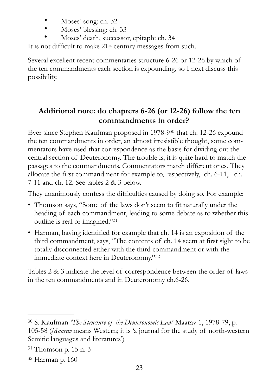- Moses' song: ch. 32
- Moses' blessing: ch. 33
- Moses' death, successor, epitaph: ch. 34

It is not difficult to make 21st century messages from such.

Several excellent recent commentaries structure 6-26 or 12-26 by which of the ten commandments each section is expounding, so I next discuss this possibility.

## <span id="page-22-4"></span><span id="page-22-0"></span>**Additional note: do chapters 6-26 (or 12-26) follow the ten commandments in order?**

Ever since Stephen Kaufman proposed in 1[9](#page-22-1)78-9<sup>[30](#page-22-1)</sup> that ch. 12-26 expound the ten commandments in order, an almost irresistible thought, some commentators have used that correspondence as the basis for dividing out the central section of Deuteronomy. The trouble is, it is quite hard to match the passages to the commandments. Commentators match different ones. They allocate the first commandment for example to, respectively, ch. 6-11, ch. 7-11 and ch. 12. See tables 2 & 3 below.

They unanimously confess the difficulties caused by doing so. For example:

- Thomson says, "Some of the laws don't seem to fit naturally under the heading of each commandment, leading to some debate as to whether this outline is real or imagined.["](#page-22-2)[31](#page-22-2)
- <span id="page-22-5"></span>• Harman, having identified for example that ch. 14 is an exposition of the third commandment, says, "The contents of ch. 14 seem at first sight to be totally disconnected either with the third commandment or with the immediate context here in Deuteronomy.["32](#page-22-3)

<span id="page-22-6"></span>Tables 2 & 3 indicate the level of correspondence between the order of laws in the ten commandments and in Deuteronomy ch.6-26.

<span id="page-22-1"></span><sup>&</sup>lt;sup>[30](#page-22-4)</sup> S. Kaufman *The Structure of the Deuteronomic Law*' Maarav 1, 1978-79, p.

<sup>105-58 (</sup>*Maarav* means Western; it is 'a journal for the study of north-western Semitic languages and literatures')

<span id="page-22-2"></span> $31$  Thomson p. 15 n. 3

<span id="page-22-3"></span><sup>&</sup>lt;sup>[32](#page-22-6)</sup> Harman p. 160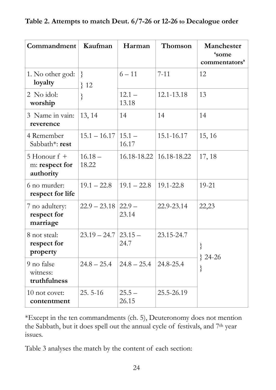|  | Table 2. Attempts to match Deut. 6/7-26 or 12-26 to Decalogue order |  |
|--|---------------------------------------------------------------------|--|
|--|---------------------------------------------------------------------|--|

| Commandment                                   | Kaufman                  | Harman            | Thomson                         | Manchester<br>'some<br>commentators' |
|-----------------------------------------------|--------------------------|-------------------|---------------------------------|--------------------------------------|
| 1. No other god:<br>loyalty                   | $\left\{ \right.$<br>312 | $6 - 11$          | $7 - 11$                        | 12                                   |
| 2 No idol:<br>worship                         | ∤                        | $12.1 -$<br>13.18 | 12.1-13.18                      | 13                                   |
| 3 Name in vain:<br>reverence                  | 13, 14                   | 14                | 14                              | 14                                   |
| 4 Remember<br>Sabbath*: rest                  | $15.1 - 16.17$           | $15.1 -$<br>16.17 | 15.1-16.17                      | 15, 16                               |
| 5 Honour $f +$<br>m: respect for<br>authority | $16.18 -$<br>18.22       |                   | $16.18 - 18.22$   16.18 - 18.22 | 17, 18                               |
| 6 no murder:<br>respect for life              | $19.1 - 22.8$            | $19.1 - 22.8$     | 19.1-22.8                       | 19-21                                |
| 7 no adultery:<br>respect for<br>marriage     | $22.9 - 23.18$           | $22.9 -$<br>23.14 | 22.9-23.14                      | 22,23                                |
| 8 not steal:<br>respect for<br>property       | $23.19 - 24.7$           | $23.15 -$<br>24.7 | 23.15-24.7                      | $\}$<br>$\{24-26$                    |
| 9 no false<br>witness:<br>truthfulness        | $24.8 - 25.4$            | $24.8 - 25.4$     | 24.8-25.4                       | $\}$                                 |
| 10 not covet:<br>contentment                  | $25.5 - 16$              | $25.5 -$<br>26.15 | 25.5-26.19                      |                                      |

\*Except in the ten commandments (ch. 5), Deuteronomy does not mention the Sabbath, but it does spell out the annual cycle of festivals, and 7th year issues.

Table 3 analyses the match by the content of each section: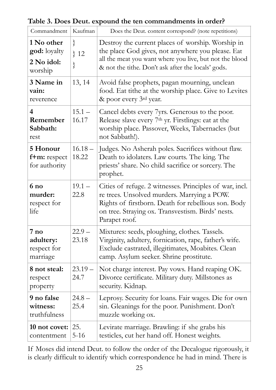Commandment | Kaufman | Does the Deut. content correspond? (note repetitions) **1 No other god:** loyalty **2 No idol:**  worship } } 12 } Destroy the current places of worship. Worship in the place God gives, not anywhere you please. Eat all the meat you want where you live, but not the blood & not the tithe. Don't ask after the locals' gods. **3 Name in vain:**  reverence 13, 14 Avoid false prophets, pagan mourning, unclean food. Eat tithe at the worship place. Give to Levites & poor every 3rd year. **4 Remember Sabbath:**  rest  $15.1 -$ 16.17 Cancel debts every 7yrs. Generous to the poor. Release slave every 7<sup>th</sup> yr. Firstlings: eat at the worship place. Passover, Weeks, Tabernacles (but not Sabbath!). **5 Honour f+m:** respect for authority  $16.18 -$ 18.22 Judges. No Asherah poles. Sacrifices without flaw. Death to idolaters. Law courts. The king. The priests' share. No child sacrifice or sorcery. The prophet. **6 no murder:**  respect for life  $19.1 -$ 22.8 Cities of refuge. 2 witnesses. Principles of war, incl. re trees. Unsolved murders. Marrying a POW. Rights of firstborn. Death for rebellious son. Body on tree. Straying ox. Transvestism. Birds' nests. Parapet roof. **7 no adultery:**  respect for marriage  $22.9 -$ 23.18 Mixtures: seeds, ploughing, clothes. Tassels. Virginity, adultery, fornication, rape, father's wife. Exclude castrated, illegitimates, Moabites. Clean camp. Asylum seeker. Shrine prostitute. **8 not steal:**  respect property  $23.19 -$ 24.7 Not charge interest. Pay vows. Hand reaping OK. Divorce certificate. Military duty. Millstones as security. Kidnap. **9 no false witness:**  truthfulness  $24.8 -$ 25.4 Leprosy. Security for loans. Fair wages. Die for own sin. Gleanings for the poor. Punishment. Don't muzzle working ox. **10 not covet:**  contentment 25. 5-16 Levirate marriage. Brawling: if she grabs his testicles, cut her hand off. Honest weights.

**Table 3. Does Deut. expound the ten commandments in order?** 

If Moses did intend Deut. to follow the order of the Decalogue rigorously, it is clearly difficult to identify which correspondence he had in mind. There is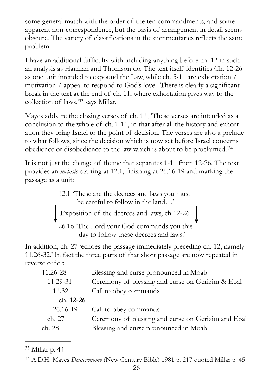some general match with the order of the ten commandments, and some apparent non-correspondence, but the basis of arrangement in detail seems obscure. The variety of classifications in the commentaries reflects the same problem.

I have an additional difficulty with including anything before ch. 12 in such an analysis as Harman and Thomson do. The text itself identifies Ch. 12-26 as one unit intended to expound the Law, while ch. 5-11 are exhortation / motivation / appeal to respond to God's love. 'There is clearly a significant break in the text at the end of ch. 11, where exhortation gives way to the collectionof laws,<sup>[33](#page-25-0)</sup> says Millar.

<span id="page-25-2"></span>Mayes adds, re the closing verses of ch. 11, 'These verses are intended as a conclusion to the whole of ch. 1-11, in that after all the history and exhortation they bring Israel to the point of decision. The verses are also a prelude to what follows, since the decision which is now set before Israel concerns obedience or disobedience to the law which is about to be proclaimed.<sup>3[34](#page-25-1)</sup>

It is not just the change of theme that separates 1-11 from 12-26. The text provides an *inclusio* starting at 12.1, finishing at 26.16-19 and marking the passage as a unit:

> 12.1 'These are the decrees and laws you must be careful to follow in the land…' Exposition of the decrees and laws, ch 12-26 26.16 'The Lord your God commands you this

<span id="page-25-3"></span>day to follow these decrees and laws.'

In addition, ch. 27 'echoes the passage immediately preceding ch. 12, namely 11.26-32.' In fact the three parts of that short passage are now repeated in reverse order:

| 11.26-28<br>11.29-31 | Blessing and curse pronounced in Moab<br>Ceremony of blessing and curse on Gerizim & Ebal |
|----------------------|-------------------------------------------------------------------------------------------|
| 11.32                | Call to obey commands                                                                     |
| ch. 12-26            |                                                                                           |
| 26.16-19             | Call to obey commands                                                                     |
| ch. 27               | Ceremony of blessing and curse on Gerizim and Ebal                                        |
| ch. 28               | Blessing and curse pronounced in Moab                                                     |
|                      |                                                                                           |

<span id="page-25-0"></span><sup>[33](#page-25-2)</sup> Millar p. 44

<span id="page-25-1"></span><sup>&</sup>lt;sup>[34](#page-25-3)</sup> A.D.H. Mayes *Deuteronomy* (New Century Bible) 1981 p. 217 quoted Millar p. 45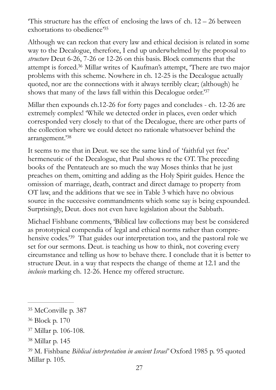<span id="page-26-5"></span>This structure has the effect of enclosing the laws of ch.  $12 - 26$  between exhortations to obedience['35](#page-26-0)

<span id="page-26-6"></span>Although we can reckon that every law and ethical decision is related in some way to the Decalogue, therefore, I end up underwhelmed by the proposal to *structure* Deut 6-26, 7-26 or 12-26 on this basis. Block comments that the attempt is forced[.](#page-26-1)<sup>[36](#page-26-1)</sup> Millar writes of Kaufman's attempt, 'There are two major problems with this scheme. Nowhere in ch. 12-25 is the Decalogue actually quoted, nor are the connections with it always terribly clear; (although) he shows that many of the laws fall within this Decalogue order.['37](#page-26-2)

<span id="page-26-7"></span>Millar then expounds ch.12-26 for forty pages and concludes - ch. 12-26 are extremely complex! 'While we detected order in places, even order which corresponded very closely to that of the Decalogue, there are other parts of the collection where we could detect no rationale whatsoever behind the arrangement.['](#page-26-3)[38](#page-26-3)

<span id="page-26-8"></span>It seems to me that in Deut. we see the same kind of 'faithful yet free' hermeneutic of the Decalogue, that Paul shows re the OT. The preceding books of the Pentateuch are so much the way Moses thinks that he just preaches on them, omitting and adding as the Holy Spirit guides. Hence the omission of marriage, death, contract and direct damage to property from OT law, and the additions that we see in Table 3 which have no obvious source in the successive commandments which some say is being expounded. Surprisingly, Deut. does not even have legislation about the Sabbath.

<span id="page-26-9"></span>Michael Fishbane comments, 'Biblical law collections may best be considered as prototypical compendia of legal and ethical norms rather than compre-hensive codes.['](#page-26-4)<sup>[39](#page-26-4)</sup> That guides our interpretation too, and the pastoral role we set for our sermons. Deut. is teaching us how to think, not covering every circumstance and telling us how to behave there. I conclude that it is better to structure Deut. in a way that respects the change of theme at 12.1 and the *inclusio* marking ch. 12-26. Hence my offered structure.

<span id="page-26-0"></span><sup>&</sup>lt;sup>[35](#page-26-5)</sup> McConville p. 387

<span id="page-26-1"></span>Block p. 170 [36](#page-26-6)

<span id="page-26-2"></span><sup>&</sup>lt;sup>[37](#page-26-7)</sup> Millar p. 106-108.

<span id="page-26-3"></span><sup>&</sup>lt;sup>[38](#page-26-8)</sup> Millar p. 145

<span id="page-26-4"></span>M. Fishbane *Biblical interpretation in ancient Israel'* Oxford 1985 p. 95 quoted [39](#page-26-9) Millar p. 105.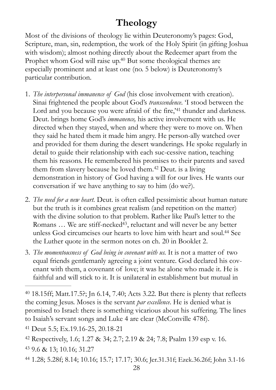# <span id="page-27-7"></span><span id="page-27-6"></span><span id="page-27-0"></span>**Theology**

Most of the divisions of theology lie within Deuteronomy's pages: God, Scripture, man, sin, redemption, the work of the Holy Spirit (in gifting Joshua with wisdom); almost nothing directly about the Redeemer apart from the Prophet whom God will raise up[.](#page-27-1)<sup>[40](#page-27-1)</sup> But some theological themes are especially prominent and at least one (no. 5 below) is Deuteronomy's particular contribution.

- 1. *The interpersonal immanence of God* (his close involvement with creation). Sinai frightened the people about God's *transcendence*. 'I stood between the Lordand you because you were afraid of the fire,<sup>'[41](#page-27-2)</sup> thunder and darkness. Deut. brings home God's *immanence,* his active involvement with us. He directed when they stayed, when and where they were to move on. When they said he hated them it made him angry. He person-ally watched over and provided for them during the desert wanderings. He spoke regularly in detail to guide their relationship with each suc-cessive nation, teaching them his reasons. He remembered his promises to their parents and saved themfrom slavery because he loved them.<sup>[42](#page-27-3)</sup> Deut. is a living demonstration in history of God having a will for our lives. He wants our conversation if we have anything to say to him (do we?).
- <span id="page-27-9"></span><span id="page-27-8"></span>2. *The need for a new heart.* Deut. is often called pessimistic about human nature but the truth is it combines great realism (and repetition on the matter) with the divine solution to that problem. Rather like Paul's letter to the Romans  $\ldots$  We are stiff-necked<sup>[43](#page-27-4)</sup>, reluctant and will never be any better unless God circumcises our hearts to love him with heart and soul[.](#page-27-5)<sup>[44](#page-27-5)</sup> See the Luther quote in the sermon notes on ch. 20 in Booklet 2.
- <span id="page-27-10"></span>3. *The momentousness of God being in covenant with us.* It is not a matter of two equal friends gentlemanly agreeing a joint venture. God declared his covenant with them, a covenant of love; it was he alone who made it. He is faithful and will stick to it. It is unilateral in establishment but mutual in

<span id="page-27-5"></span>1.28; 5.28f; 8.14; 10.16; 15.7; 17.17; 30.6; Jer.31.31f; Ezek.36.26f; John 3.1-16 [44](#page-27-10)

<span id="page-27-1"></span> $18.15$ ff; Matt.17.5?; Jn 6.14, 7.[40](#page-27-6); Acts 3.22. But there is plenty that reflects the coming Jesus. Moses is the servant *par excellence*. He is denied what is promised to Israel: there is something vicarious about his suffering. The lines to Isaiah's servant songs and Luke 4 are clear (McConville 478f).

<span id="page-27-2"></span>Deut 5.5; Ex.19.16-25, 20.18-21 [41](#page-27-7)

<span id="page-27-3"></span>Respectively, 1.6; 1.27 & 34; 2.7; 2.19 & 24; 7.8; Psalm 139 esp v. 16. [42](#page-27-8)

<span id="page-27-4"></span> <sup>9.6 &</sup>amp; 13; 10.16; 31.27 [43](#page-27-9)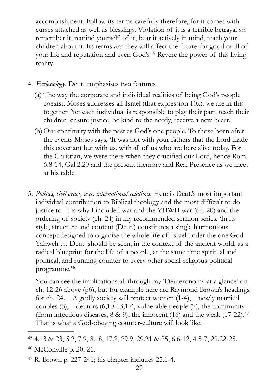<span id="page-28-3"></span>accomplishment. Follow its terms carefully therefore, for it comes with curses attached as well as blessings. Violation of it is a terrible betrayal so remember it, remind yourself of it, bear it actively in mind, teach your children about it. Its terms *are*; they will affect the future for good or ill of your life and reputation and even God's[.](#page-28-0)<sup>[45](#page-28-0)</sup> Revere the power of this living reality.

- 4. *Ecclesiology*. Deut. emphasises two features.
	- (a) The way the corporate and individual realities of being God's people coexist. Moses addresses all-Israel (that expression 10x): we are in this together. Yet each individual is responsible to play their part, teach their children, ensure justice, be kind to the needy, receive a new heart.
	- (b)Our continuity with the past as God's one people. To those born after the events Moses says, 'It was not with your fathers that the Lord made this covenant but with us, with all of us who are here alive today. For the Christian, we were there when they crucified our Lord, hence Rom. 6.8-14, Gal.2.20 and the present memory and Real Presence as we meet at his table.
- 5. *Politics, civil order, war, international relations.* Here is Deut.'s most important individual contribution to Biblical theology and the most difficult to do justice to. It is why I included war and the YHWH war (ch. 20) and the ordering of society (ch. 24) in my recommended sermon series. 'In its style, structure and content (Deut.) constitutes a single harmonious concept designed to organise the whole life of Israel under the one God Yahweh … Deut. should be seen, in the context of the ancient world, as a radical blueprint for the life of a people, at the same time spiritual and political, and running counter to every other social-religious-political programme.['46](#page-28-1)

<span id="page-28-5"></span><span id="page-28-4"></span>You can see the implications all through my 'Deuteronomy at a glance' on ch. 12-26 above (p6), but for example here are Raymond Brown's headings for ch. 24. A godly society will protect women (1-4), newly married couples  $(5)$ , debtors  $(6,10-13,17)$ , vulnerable people  $(7)$ , the community (from infectious diseases,  $8 \& 9$ ), the innocent (16) and the weak (17-22).<sup>47</sup> That is what a God-obeying counter-culture will look like.

<span id="page-28-1"></span><span id="page-28-0"></span> <sup>4.13 &</sup>amp; 23, 5.2, 7.9, 8.18, 17.2, 29.9, 29.21 & 25, 6.6-12, 4.5-7, 29.22-25. [45](#page-28-3)  $46$  McConville p. 20, 21.

<span id="page-28-2"></span> $47$  R. Brown p. 227-241; his chapter includes 25.1-4.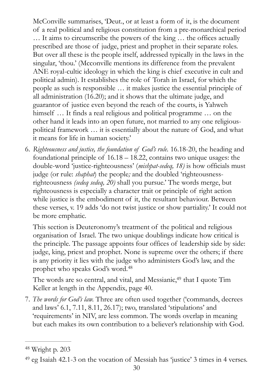McConville summarises, 'Deut., or at least a form of it, is the document of a real political and religious constitution from a pre-monarchical period … It aims to circumscribe the powers of the king … the offices actually prescribed are those of judge, priest and prophet in their separate roles. But over all these is the people itself, addressed typically in the laws in the singular, 'thou.' (Mcconville mentions its difference from the prevalent ANE royal-cultic ideology in which the king is chief executive in cult and political admin). It establishes the role of Torah in Israel, for which the people as such is responsible … it makes justice the essential principle of all administration (16.20); and it shows that the ultimate judge, and guarantor of justice even beyond the reach of the courts, is Yahweh himself ... It finds a real religious and political programme ... on the other hand it leads into an open future, not married to any one religiouspolitical framework … it is essentially about the nature of God, and what it means for life in human society.'

6. *Righteousness and justice, the foundation of God's rule.* 16.18-20, the heading and foundational principle of 16.18 – 18.22, contains two unique usages: the double-word 'justice-righteousness' (*mishpat-sedeq, 18)* is how officials must judge (or rule: *shaphat*) the people*;* and the doubled 'righteousnessrighteousness *(sedeq sedeq, 20)* shall you pursue.' The words merge, but righteousness is especially a character trait or principle of right action while justice is the embodiment of it, the resultant behaviour. Between these verses, v. 19 adds 'do not twist justice or show partiality.' It could not be more emphatic.

This section is Deuteronomy's treatment of the political and religious organisation of Israel. The two unique doublings indicate how critical is the principle. The passage appoints four offices of leadership side by side: judge, king, priest and prophet. None is supreme over the others; if there is any priority it lies with the judge who administers God's law, and the prophet who speaks God's word. [48](#page-29-0)

<span id="page-29-3"></span><span id="page-29-2"></span>The words are so central[,](#page-29-1) and vital, and Messianic,<sup>[49](#page-29-1)</sup> that I quote Tim Keller at length in the Appendix, page 40.

7. *The words for God's law.* Three are often used together ('commands, decrees and laws' 6.1, 7.11, 8.11, 26.17); two, translated 'stipulations' and 'requirements' in NIV, are less common. The words overlap in meaning but each makes its own contribution to a believer's relationship with God.

<span id="page-29-0"></span>Wright p. 203 [48](#page-29-2)

<span id="page-29-1"></span> $49$  eg Isaiah 42.1-3 on the vocation of Messiah has 'justice' 3 times in 4 verses.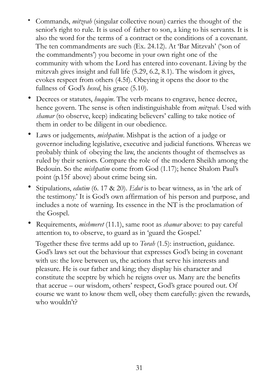- Commands, *mitzvah* (singular collective noun) carries the thought of the senior's right to rule. It is used of father to son, a king to his servants. It is also the word for the terms of a contract or the conditions of a covenant. The ten commandments are such (Ex. 24.12). At 'Bar Mitzvah' ('son of the commandments') you become in your own right one of the community with whom the Lord has entered into covenant. Living by the mitzvah gives insight and full life (5.29, 6.2, 8.1). The wisdom it gives, evokes respect from others (4.5f). Obeying it opens the door to the fullness of God's *hesed*, his grace (5.10).
- Decrees or statutes, *huqqim*. The verb means to engrave, hence decree, hence govern. The sense is often indistinguishable from *mitzvah*. Used with *shamar* (to observe, keep) indicating believers' calling to take notice of them in order to be diligent in our obedience.
- Laws or judgements, *mishpatim*. Mishpat is the action of a judge or governor including legislative, executive and judicial functions. Whereas we probably think of obeying the law, the ancients thought of themselves as ruled by their seniors. Compare the role of the modern Sheikh among the Bedouin. So the *mishpatim* come from God (1.17); hence Shalom Paul's point (p.15f above) about crime being sin.
- Stipulations, *edutim* (6. 17 & 20). *Edut* is to bear witness, as in 'the ark of the testimony.' It is God's own affirmation of his person and purpose, and includes a note of warning. Its essence in the NT is the proclamation of the Gospel.
- Requirements, *mishmeret* (11.1), same root as *shamar* above: to pay careful attention to, to observe, to guard as in 'guard the Gospel.'

Together these five terms add up to *Torah* (1.5): instruction, guidance. God's laws set out the behaviour that expresses God's being in covenant with us: the love between us, the actions that serve his interests and pleasure. He is our father and king; they display his character and constitute the sceptre by which he reigns over us. Many are the benefits that accrue – our wisdom, others' respect, God's grace poured out. Of course we want to know them well, obey them carefully: given the rewards, who wouldn't?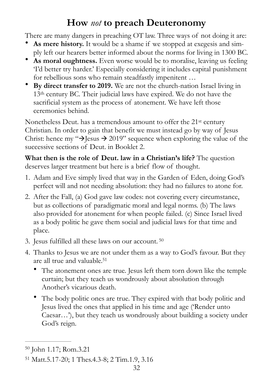# <span id="page-31-0"></span>**How** *not* **to preach Deuteronomy**

There are many dangers in preaching OT law. Three ways of not doing it are:

- As mere history. It would be a shame if we stopped at exegesis and simply left our hearers better informed about the norms for living in 1300 BC.
- **As moral oughtness.** Even worse would be to moralise, leaving us feeling 'I'd better try harder.' Especially considering it includes capital punishment for rebellious sons who remain steadfastly impenitent …
- **By direct transfer to 2019.** We are not the church-nation Israel living in 13th century BC. Their judicial laws have expired. We do not have the sacrificial system as the process of atonement. We have left those ceremonies behind.

Nonetheless Deut. has a tremendous amount to offer the 21st century Christian. In order to gain that benefit we must instead go by way of Jesus Christ: hence my " $\rightarrow$  Jesus  $\rightarrow$  2019" sequence when exploring the value of the successive sections of Deut. in Booklet 2.

**What then is the role of Deut. law in a Christian's life?** The question deserves larger treatment but here is a brief flow of thought.

- 1. Adam and Eve simply lived that way in the Garden of Eden, doing God's perfect will and not needing absolution: they had no failures to atone for.
- 2. After the Fall, (a) God gave law codes: not covering every circumstance, but as collections of paradigmatic moral and legal norms. (b) The laws also provided for atonement for when people failed. (c) Since Israel lived as a body politic he gave them social and judicial laws for that time and place.
- <span id="page-31-3"></span>3. Jesus fulfilled all these laws on our account. [50](#page-31-1)
- <span id="page-31-4"></span>4. Thanks to Jesus we are not under them as a way to God's favour. But they are all true and valuable[.](#page-31-2) [51](#page-31-2)
	- The atonement ones are true. Jesus left them torn down like the temple curtain; but they teach us wondrously about absolution through Another's vicarious death.
	- The body politic ones are true. They expired with that body politic and Jesus lived the ones that applied in his time and age ('Render unto Caesar…'), but they teach us wondrously about building a society under God's reign.

<span id="page-31-1"></span>[<sup>50</sup>](#page-31-3) John 1.17; Rom.3.21

<span id="page-31-2"></span><sup>&</sup>lt;sup>[51](#page-31-4)</sup> Matt.5.17-20; 1 Thes.4.3-8; 2 Tim.1.9, 3.16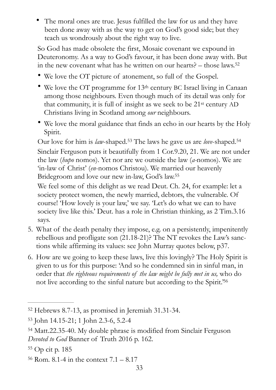• The moral ones are true. Jesus fulfilled the law for us and they have been done away with as the way to get on God's good side; but they teach us wondrously about the right way to live.

So God has made obsolete the first, Mosaic covenant we expound in Deuteronomy. As a way to God's favour, it has been done away with. But in the new covenant what has he written on our hearts? – those laws. [52](#page-32-0)

- <span id="page-32-5"></span>• We love the OT picture of atonement, so full of the Gospel.
- We love the OT programme for 13<sup>th</sup> century BC Israel living in Canaan among those neighbours. Even though much of its detail was only for that community, it is full of insight as we seek to be 21st century AD Christians living in Scotland among *our* neighbours.
- We love the moral guidance that finds an echo in our hearts by the Holy Spirit.

<span id="page-32-7"></span><span id="page-32-6"></span>Ourlove for him is *law*-shaped.<sup>53</sup> The laws he gave us are *love*-shaped.<sup>54</sup> Sinclair Ferguson puts it beautifully from 1 Cor.9.20, 21. We are not under the law (*hupo* nomos). Yet nor are we outside the law (*a-*nomos). We are 'in-law of Christ' (*en*-nomos Christou). We married our heavenly Bridegroom and love our new in-law, God's law[.](#page-32-3) [55](#page-32-3)

<span id="page-32-8"></span>We feel some of this delight as we read Deut. Ch. 24, for example: let a society protect women, the newly married, debtors, the vulnerable. Of course! 'How lovely is your law,' we say. 'Let's do what we can to have society live like this.' Deut. has a role in Christian thinking, as 2 Tim.3.16 says.

- 5. What of the death penalty they impose, e.g. on a persistently, impenitently rebellious and profligate son (21.18-21)? The NT revokes the Law's sanctions while affirming its values: see John Murray quotes below, p37.
- <span id="page-32-9"></span>6. How are we going to keep these laws, live this lovingly? The Holy Spirit is given to us for this purpose: 'And so he condemned sin in sinful man, in order that *the righteous requirements of the law might be fully met in us,* who do not live according to the sinful nature but according to the Spirit.<sup>56</sup>

<span id="page-32-0"></span> $52$  Hebrews 8.7-13, as promised in Jeremiah 31.31-34.

<span id="page-32-1"></span>[<sup>53</sup>](#page-32-6) John 14.15-21; 1 John 2.3-6, 5.2-4

<span id="page-32-2"></span><sup>&</sup>lt;sup>[54](#page-32-7)</sup> Matt.22.35-40. My double phrase is modified from Sinclair Ferguson *Devoted to God* Banner of Truth 2016 p. 162.

<span id="page-32-3"></span><sup>&</sup>lt;sup>[55](#page-32-8)</sup> Op cit p. 185

<span id="page-32-4"></span> $56$  Rom. 8.1-4 in the context  $7.1 - 8.17$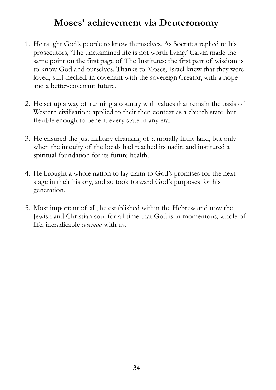# <span id="page-33-0"></span>**Moses' achievement via Deuteronomy**

- 1. He taught God's people to know themselves. As Socrates replied to his prosecutors, 'The unexamined life is not worth living.' Calvin made the same point on the first page of The Institutes: the first part of wisdom is to know God and ourselves. Thanks to Moses, Israel knew that they were loved, stiff-necked, in covenant with the sovereign Creator, with a hope and a better-covenant future.
- 2. He set up a way of running a country with values that remain the basis of Western civilisation: applied to their then context as a church state, but flexible enough to benefit every state in any era.
- 3. He ensured the just military cleansing of a morally filthy land, but only when the iniquity of the locals had reached its nadir; and instituted a spiritual foundation for its future health.
- 4. He brought a whole nation to lay claim to God's promises for the next stage in their history, and so took forward God's purposes for his generation.
- 5. Most important of all, he established within the Hebrew and now the Jewish and Christian soul for all time that God is in momentous, whole of life, ineradicable *covenant* with us.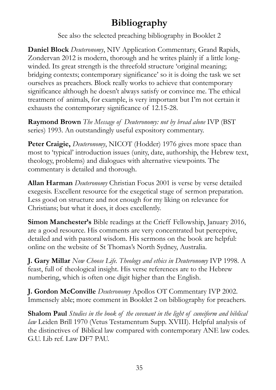# <span id="page-34-0"></span>**Bibliography**

See also the selected preaching bibliography in Booklet 2

**Daniel Block** *Deuteronomy*, NIV Application Commentary, Grand Rapids, Zondervan 2012 is modern, thorough and he writes plainly if a little longwinded. Its great strength is the threefold structure 'original meaning; bridging contexts; contemporary significance' so it is doing the task we set ourselves as preachers. Block really works to achieve that contemporary significance although he doesn't always satisfy or convince me. The ethical treatment of animals, for example, is very important but I'm not certain it exhausts the contemporary significance of 12.15-28.

**Raymond Brown** *The Message of Deuteronomy: not by bread alone* IVP (BST series) 1993. An outstandingly useful expository commentary.

**Peter Craigie,** *Deuteronomy*, NICOT (Hodder) 1976 gives more space than most to 'typical' introduction issues (unity, date, authorship, the Hebrew text, theology, problems) and dialogues with alternative viewpoints. The commentary is detailed and thorough.

**Allan Harman** *Deuteronomy* Christian Focus 2001 is verse by verse detailed exegesis. Excellent resource for the exegetical stage of sermon preparation. Less good on structure and not enough for my liking on relevance for Christians; but what it does, it does excellently.

**Simon Manchester's** Bible readings at the Crieff Fellowship, January 2016, are a good resource. His comments are very concentrated but perceptive, detailed and with pastoral wisdom. His sermons on the book are helpful: online on the website of St Thomas's North Sydney, Australia.

**J. Gary Millar** *Now Choose Life. Theology and ethics in Deuteronomy* IVP 1998. A feast, full of theological insight. His verse references are to the Hebrew numbering, which is often one digit higher than the English.

**J. Gordon McConville** *Deuteronomy* Apollos OT Commentary IVP 2002. Immensely able; more comment in Booklet 2 on bibliography for preachers.

**Shalom Paul** *Studies in the book of the covenant in the light of cuneiform and biblical law* Leiden Brill 1970 (Vetus Testamentum Supp. XVIII). Helpful analysis of the distinctives of Biblical law compared with contemporary ANE law codes. G.U. Lib ref. Law DF7 PAU.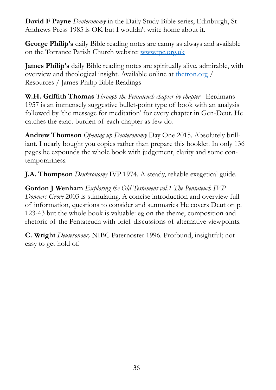**David F Payne** *Deuteronomy* in the Daily Study Bible series, Edinburgh, St Andrews Press 1985 is OK but I wouldn't write home about it.

**George Philip's** daily Bible reading notes are canny as always and available on the Torrance Parish Church website: [www.tpc.org.uk](http://www.tpc.org.uk)

**James Philip's** daily Bible reading notes are spiritually alive, admirable, with overview and theological insight. Available online at [thetron.org](http://thetron.org) / Resources / James Philip Bible Readings

**W.H. Griffith Thomas** *Through the Pentateuch chapter by chapter* Eerdmans 1957 is an immensely suggestive bullet-point type of book with an analysis followed by 'the message for meditation' for every chapter in Gen-Deut. He catches the exact burden of each chapter as few do.

**Andrew Thomson** *Opening up Deuteronomy* Day One 2015. Absolutely brilliant. I nearly bought you copies rather than prepare this booklet. In only 136 pages he expounds the whole book with judgement, clarity and some contemporariness.

**J.A. Thompson** *Deuteronomy* IVP 1974. A steady, reliable exegetical guide.

**Gordon J Wenham** *Exploring the Old Testament vol.1 The Pentateuch IVP Downers Grove* 2003 is stimulating. A concise introduction and overview full of information, questions to consider and summaries He covers Deut on p. 123-43 but the whole book is valuable: eg on the theme, composition and rhetoric of the Pentateuch with brief discussions of alternative viewpoints.

**C. Wright** *Deuteronomy* NIBC Paternoster 1996. Profound, insightful; not easy to get hold of.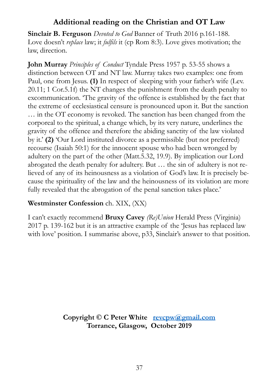## <span id="page-36-0"></span>**Additional reading on the Christian and OT Law**

**Sinclair B. Ferguson** *Devoted to God* Banner of Truth 2016 p.161-188. Love doesn't *replace* law; it *fulfils* it (cp Rom 8:3). Love gives motivation; the law, direction.

**John Murray** *Principles of Conduct* Tyndale Press 1957 p. 53-55 shows a distinction between OT and NT law. Murray takes two examples: one from Paul, one from Jesus. **(1)** In respect of sleeping with your father's wife (Lev. 20.11; 1 Cor.5.1f) the NT changes the punishment from the death penalty to excommunication. 'The gravity of the offence is established by the fact that the extreme of ecclesiastical censure is pronounced upon it. But the sanction … in the OT economy is revoked. The sanction has been changed from the corporeal to the spiritual, a change which, by its very nature, underlines the gravity of the offence and therefore the abiding sanctity of the law violated by it.' **(2)** 'Our Lord instituted divorce as a permissible (but not preferred) recourse (Isaiah 50:1) for the innocent spouse who had been wronged by adultery on the part of the other (Matt.5.32, 19.9). By implication our Lord abrogated the death penalty for adultery. But … the sin of adultery is not relieved of any of its heinousness as a violation of God's law. It is precisely because the spirituality of the law and the heinousness of its violation are more fully revealed that the abrogation of the penal sanction takes place.'

## **Westminster Confession** ch. XIX, (XX)

I can't exactly recommend **Bruxy Cavey** *(Re)Union* Herald Press (Virginia) 2017 p. 139-162 but it is an attractive example of the 'Jesus has replaced law with love' position. I summarise above, p33, Sinclair's answer to that position.

> **Copyright © C Peter White [revcpw@gmail.com](mailto:revcpw@gmail.com)  Torrance, Glasgow, October 2019**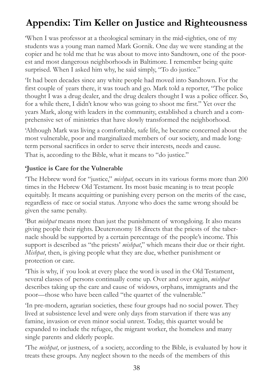# <span id="page-37-0"></span>**Appendix: Tim Keller on Justice and Righteousness**

'When I was professor at a theological seminary in the mid-eighties, one of my students was a young man named Mark Gornik. One day we were standing at the copier and he told me that he was about to move into Sandtown, one of the poorest and most dangerous neighborhoods in Baltimore. I remember being quite surprised. When I asked him why, he said simply, "To do justice."

'It had been decades since any white people had moved into Sandtown. For the first couple of years there, it was touch and go. Mark told a reporter, "The police thought I was a drug dealer, and the drug dealers thought I was a police officer. So, for a while there, I didn't know who was going to shoot me first." Yet over the years Mark, along with leaders in the community, established a church and a comprehensive set of ministries that have slowly transformed the neighborhood.

'Although Mark was living a comfortable, safe life, he became concerned about the most vulnerable, poor and marginalized members of our society, and made longterm personal sacrifices in order to serve their interests, needs and cause. That is, according to the Bible, what it means to "do justice."

## **'Justice is Care for the Vulnerable**

'The Hebrew word for "justice," *mishpat,* occurs in its various forms more than 200 times in the Hebrew Old Testament. Its most basic meaning is to treat people equitably. It means acquitting or punishing every person on the merits of the case, regardless of race or social status. Anyone who does the same wrong should be given the same penalty.

'But *mishpat* means more than just the punishment of wrongdoing. It also means giving people their rights. Deuteronomy 18 directs that the priests of the tabernacle should be supported by a certain percentage of the people's income. This support is described as "the priests' *mishpat*," which means their due or their right. *Mishpat*, then, is giving people what they are due, whether punishment or protection or care.

'This is why, if you look at every place the word is used in the Old Testament, several classes of persons continually come up. Over and over again, *mishpat* describes taking up the care and cause of widows, orphans, immigrants and the poor—those who have been called "the quartet of the vulnerable."

'In pre-modern, agrarian societies, these four groups had no social power. They lived at subsistence level and were only days from starvation if there was any famine, invasion or even minor social unrest. Today, this quartet would be expanded to include the refugee, the migrant worker, the homeless and many single parents and elderly people.

'The *mishpat*, or justness, of a society, according to the Bible, is evaluated by how it treats these groups. Any neglect shown to the needs of the members of this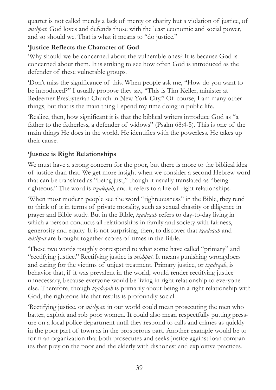quartet is not called merely a lack of mercy or charity but a violation of justice, of *mishpat*. God loves and defends those with the least economic and social power, and so should we. That is what it means to "do justice."

## **'Justice Reflects the Character of God**

'Why should we be concerned about the vulnerable ones? It is because God is concerned about them. It is striking to see how often God is introduced as the defender of these vulnerable groups.

'Don't miss the significance of this. When people ask me, "How do you want to be introduced?" I usually propose they say, "This is Tim Keller, minister at Redeemer Presbyterian Church in New York City." Of course, I am many other things, but that is the main thing I spend my time doing in public life.

'Realize, then, how significant it is that the biblical writers introduce God as "a father to the fatherless, a defender of widows" (Psalm 68:4-5). This is one of the main things He does in the world. He identifies with the powerless. He takes up their cause.

## **'Justice is Right Relationships**

We must have a strong concern for the poor, but there is more to the biblical idea of justice than that. We get more insight when we consider a second Hebrew word that can be translated as "being just," though it usually translated as "being righteous." The word is *tzadeqah*, and it refers to a life of right relationships.

'When most modern people see the word "righteousness" in the Bible, they tend to think of it in terms of private morality, such as sexual chastity or diligence in prayer and Bible study. But in the Bible, *tzadeqah* refers to day-to-day living in which a person conducts all relationships in family and society with fairness, generosity and equity. It is not surprising, then, to discover that *tzadeqah* and *mishpat* are brought together scores of times in the Bible.

'These two words roughly correspond to what some have called "primary" and "rectifying justice." Rectifying justice is *mishpat*. It means punishing wrongdoers and caring for the victims of unjust treatment. Primary justice, or *tzadeqah*, is behavior that, if it was prevalent in the world, would render rectifying justice unnecessary, because everyone would be living in right relationship to everyone else. Therefore, though *tzadeqah* is primarily about being in a right relationship with God, the righteous life that results is profoundly social.

'Rectifying justice, or *mishpat*, in our world could mean prosecuting the men who batter, exploit and rob poor women. It could also mean respectfully putting pressure on a local police department until they respond to calls and crimes as quickly in the poor part of town as in the prosperous part. Another example would be to form an organization that both prosecutes and seeks justice against loan companies that prey on the poor and the elderly with dishonest and exploitive practices.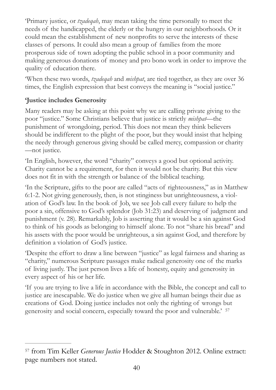'Primary justice, or *tzadeqah*, may mean taking the time personally to meet the needs of the handicapped, the elderly or the hungry in our neighborhoods. Or it could mean the establishment of new nonprofits to serve the interests of these classes of persons. It could also mean a group of families from the more prosperous side of town adopting the public school in a poor community and making generous donations of money and pro bono work in order to improve the quality of education there.

'When these two words, *tzadeqah* and *mishpat*, are tied together, as they are over 36 times, the English expression that best conveys the meaning is "social justice."

## **'Justice includes Generosity**

Many readers may be asking at this point why we are calling private giving to the poor "justice." Some Christians believe that justice is strictly *mishpat*—the punishment of wrongdoing, period. This does not mean they think believers should be indifferent to the plight of the poor, but they would insist that helping the needy through generous giving should be called mercy, compassion or charity —not justice.

'In English, however, the word "charity" conveys a good but optional activity. Charity cannot be a requirement, for then it would not be charity. But this view does not fit in with the strength or balance of the biblical teaching.

'In the Scripture, gifts to the poor are called "acts of righteousness," as in Matthew 6:1-2. Not giving generously, then, is not stinginess but unrighteousness, a violation of God's law. In the book of Job, we see Job call every failure to help the poor a sin, offensive to God's splendor (Job 31:23) and deserving of judgment and punishment (v. 28). Remarkably, Job is asserting that it would be a sin against God to think of his goods as belonging to himself alone. To not "share his bread" and his assets with the poor would be unrighteous, a sin against God, and therefore by definition a violation of God's justice.

'Despite the effort to draw a line between "justice" as legal fairness and sharing as "charity," numerous Scripture passages make radical generosity one of the marks of living justly. The just person lives a life of honesty, equity and generosity in every aspect of his or her life.

<span id="page-39-1"></span>'If you are trying to live a life in accordance with the Bible, the concept and call to justice are inescapable. We do justice when we give all human beings their due as creations of God. Doing justice includes not only the righting of wrongs but generosity and social concern, especially toward the poor and vulnerable.' [57](#page-39-0)

<span id="page-39-0"></span>from Tim Keller *Generous Justice* Hodder & Stoughton 2012. Online extract: [57](#page-39-1) page numbers not stated.